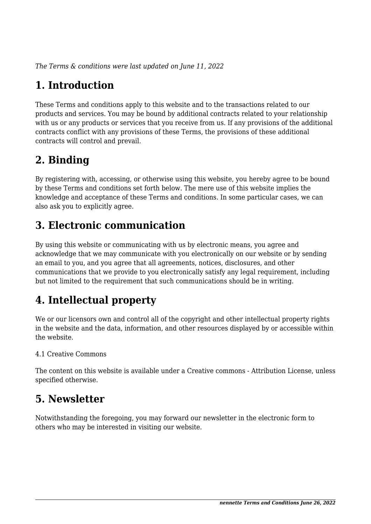*The Terms & conditions were last updated on June 11, 2022*

# **1. Introduction**

These Terms and conditions apply to this website and to the transactions related to our products and services. You may be bound by additional contracts related to your relationship with us or any products or services that you receive from us. If any provisions of the additional contracts conflict with any provisions of these Terms, the provisions of these additional contracts will control and prevail.

## **2. Binding**

By registering with, accessing, or otherwise using this website, you hereby agree to be bound by these Terms and conditions set forth below. The mere use of this website implies the knowledge and acceptance of these Terms and conditions. In some particular cases, we can also ask you to explicitly agree.

## **3. Electronic communication**

By using this website or communicating with us by electronic means, you agree and acknowledge that we may communicate with you electronically on our website or by sending an email to you, and you agree that all agreements, notices, disclosures, and other communications that we provide to you electronically satisfy any legal requirement, including but not limited to the requirement that such communications should be in writing.

# **4. Intellectual property**

We or our licensors own and control all of the copyright and other intellectual property rights in the website and the data, information, and other resources displayed by or accessible within the website.

#### 4.1 Creative Commons

The content on this website is available under a Creative commons - Attribution License, unless specified otherwise.

#### **5. Newsletter**

Notwithstanding the foregoing, you may forward our newsletter in the electronic form to others who may be interested in visiting our website.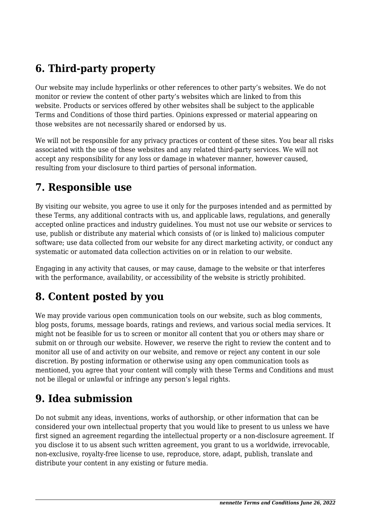## **6. Third-party property**

Our website may include hyperlinks or other references to other party's websites. We do not monitor or review the content of other party's websites which are linked to from this website. Products or services offered by other websites shall be subject to the applicable Terms and Conditions of those third parties. Opinions expressed or material appearing on those websites are not necessarily shared or endorsed by us.

We will not be responsible for any privacy practices or content of these sites. You bear all risks associated with the use of these websites and any related third-party services. We will not accept any responsibility for any loss or damage in whatever manner, however caused, resulting from your disclosure to third parties of personal information.

#### **7. Responsible use**

By visiting our website, you agree to use it only for the purposes intended and as permitted by these Terms, any additional contracts with us, and applicable laws, regulations, and generally accepted online practices and industry guidelines. You must not use our website or services to use, publish or distribute any material which consists of (or is linked to) malicious computer software; use data collected from our website for any direct marketing activity, or conduct any systematic or automated data collection activities on or in relation to our website.

Engaging in any activity that causes, or may cause, damage to the website or that interferes with the performance, availability, or accessibility of the website is strictly prohibited.

## **8. Content posted by you**

We may provide various open communication tools on our website, such as blog comments, blog posts, forums, message boards, ratings and reviews, and various social media services. It might not be feasible for us to screen or monitor all content that you or others may share or submit on or through our website. However, we reserve the right to review the content and to monitor all use of and activity on our website, and remove or reject any content in our sole discretion. By posting information or otherwise using any open communication tools as mentioned, you agree that your content will comply with these Terms and Conditions and must not be illegal or unlawful or infringe any person's legal rights.

#### **9. Idea submission**

Do not submit any ideas, inventions, works of authorship, or other information that can be considered your own intellectual property that you would like to present to us unless we have first signed an agreement regarding the intellectual property or a non-disclosure agreement. If you disclose it to us absent such written agreement, you grant to us a worldwide, irrevocable, non-exclusive, royalty-free license to use, reproduce, store, adapt, publish, translate and distribute your content in any existing or future media.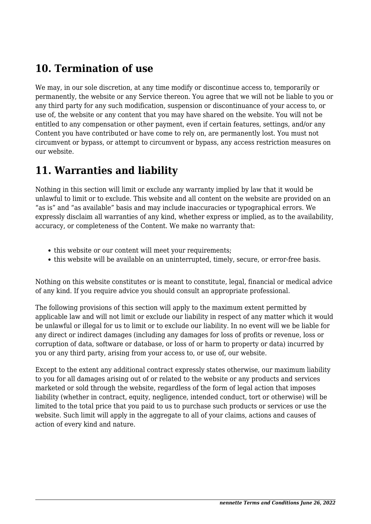#### **10. Termination of use**

We may, in our sole discretion, at any time modify or discontinue access to, temporarily or permanently, the website or any Service thereon. You agree that we will not be liable to you or any third party for any such modification, suspension or discontinuance of your access to, or use of, the website or any content that you may have shared on the website. You will not be entitled to any compensation or other payment, even if certain features, settings, and/or any Content you have contributed or have come to rely on, are permanently lost. You must not circumvent or bypass, or attempt to circumvent or bypass, any access restriction measures on our website.

#### **11. Warranties and liability**

Nothing in this section will limit or exclude any warranty implied by law that it would be unlawful to limit or to exclude. This website and all content on the website are provided on an "as is" and "as available" basis and may include inaccuracies or typographical errors. We expressly disclaim all warranties of any kind, whether express or implied, as to the availability, accuracy, or completeness of the Content. We make no warranty that:

- this website or our content will meet your requirements;
- this website will be available on an uninterrupted, timely, secure, or error-free basis.

Nothing on this website constitutes or is meant to constitute, legal, financial or medical advice of any kind. If you require advice you should consult an appropriate professional.

The following provisions of this section will apply to the maximum extent permitted by applicable law and will not limit or exclude our liability in respect of any matter which it would be unlawful or illegal for us to limit or to exclude our liability. In no event will we be liable for any direct or indirect damages (including any damages for loss of profits or revenue, loss or corruption of data, software or database, or loss of or harm to property or data) incurred by you or any third party, arising from your access to, or use of, our website.

Except to the extent any additional contract expressly states otherwise, our maximum liability to you for all damages arising out of or related to the website or any products and services marketed or sold through the website, regardless of the form of legal action that imposes liability (whether in contract, equity, negligence, intended conduct, tort or otherwise) will be limited to the total price that you paid to us to purchase such products or services or use the website. Such limit will apply in the aggregate to all of your claims, actions and causes of action of every kind and nature.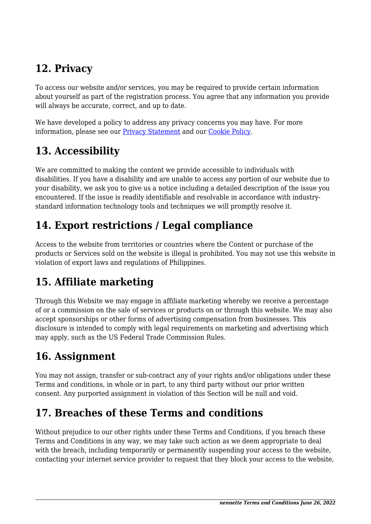## **12. Privacy**

To access our website and/or services, you may be required to provide certain information about yourself as part of the registration process. You agree that any information you provide will always be accurate, correct, and up to date.

We have developed a policy to address any privacy concerns you may have. For more information, please see our [Privacy Statement](https://www.nennette.com/privacy-policy/) and our [Cookie Policy](https://www.nennette.com/cookie-policy/).

# **13. Accessibility**

We are committed to making the content we provide accessible to individuals with disabilities. If you have a disability and are unable to access any portion of our website due to your disability, we ask you to give us a notice including a detailed description of the issue you encountered. If the issue is readily identifiable and resolvable in accordance with industrystandard information technology tools and techniques we will promptly resolve it.

## **14. Export restrictions / Legal compliance**

Access to the website from territories or countries where the Content or purchase of the products or Services sold on the website is illegal is prohibited. You may not use this website in violation of export laws and regulations of Philippines.

# **15. Affiliate marketing**

Through this Website we may engage in affiliate marketing whereby we receive a percentage of or a commission on the sale of services or products on or through this website. We may also accept sponsorships or other forms of advertising compensation from businesses. This disclosure is intended to comply with legal requirements on marketing and advertising which may apply, such as the US Federal Trade Commission Rules.

## **16. Assignment**

You may not assign, transfer or sub-contract any of your rights and/or obligations under these Terms and conditions, in whole or in part, to any third party without our prior written consent. Any purported assignment in violation of this Section will be null and void.

## **17. Breaches of these Terms and conditions**

Without prejudice to our other rights under these Terms and Conditions, if you breach these Terms and Conditions in any way, we may take such action as we deem appropriate to deal with the breach, including temporarily or permanently suspending your access to the website, contacting your internet service provider to request that they block your access to the website,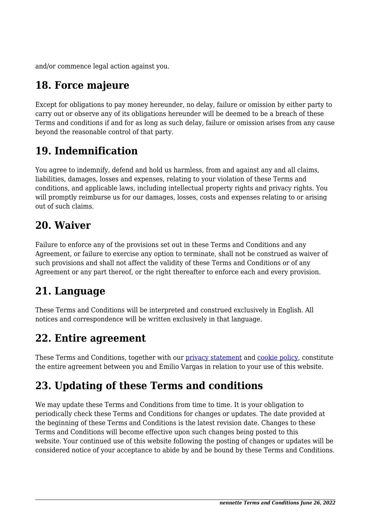and/or commence legal action against you.

# **18. Force majeure**

Except for obligations to pay money hereunder, no delay, failure or omission by either party to carry out or observe any of its obligations hereunder will be deemed to be a breach of these Terms and conditions if and for as long as such delay, failure or omission arises from any cause beyond the reasonable control of that party.

# **19. Indemnification**

You agree to indemnify, defend and hold us harmless, from and against any and all claims, liabilities, damages, losses and expenses, relating to your violation of these Terms and conditions, and applicable laws, including intellectual property rights and privacy rights. You will promptly reimburse us for our damages, losses, costs and expenses relating to or arising out of such claims.

#### **20. Waiver**

Failure to enforce any of the provisions set out in these Terms and Conditions and any Agreement, or failure to exercise any option to terminate, shall not be construed as waiver of such provisions and shall not affect the validity of these Terms and Conditions or of any Agreement or any part thereof, or the right thereafter to enforce each and every provision.

## **21. Language**

These Terms and Conditions will be interpreted and construed exclusively in English. All notices and correspondence will be written exclusively in that language.

#### **22. Entire agreement**

These Terms and Conditions, together with our [privacy statement](https://www.nennette.com/privacy-policy/) and [cookie policy,](https://www.nennette.com/cookie-policy/) constitute the entire agreement between you and Emilio Vargas in relation to your use of this website.

# **23. Updating of these Terms and conditions**

We may update these Terms and Conditions from time to time. It is your obligation to periodically check these Terms and Conditions for changes or updates. The date provided at the beginning of these Terms and Conditions is the latest revision date. Changes to these Terms and Conditions will become effective upon such changes being posted to this website. Your continued use of this website following the posting of changes or updates will be considered notice of your acceptance to abide by and be bound by these Terms and Conditions.